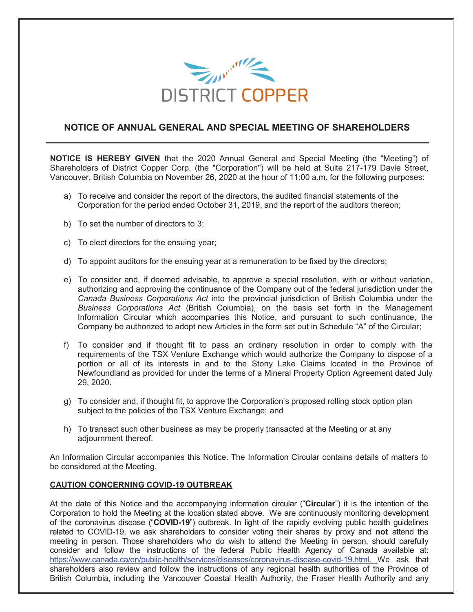

## **NOTICE OF ANNUAL GENERAL AND SPECIAL MEETING OF SHAREHOLDERS**

**NOTICE IS HEREBY GIVEN** that the 2020 Annual General and Special Meeting (the "Meeting") of Shareholders of District Copper Corp. (the "Corporation") will be held at Suite 217-179 Davie Street, Vancouver, British Columbia on November 26, 2020 at the hour of 11:00 a.m. for the following purposes:

- a) To receive and consider the report of the directors, the audited financial statements of the Corporation for the period ended October 31, 2019, and the report of the auditors thereon;
- b) To set the number of directors to 3;
- c) To elect directors for the ensuing year;
- d) To appoint auditors for the ensuing year at a remuneration to be fixed by the directors;
- e) To consider and, if deemed advisable, to approve a special resolution, with or without variation, authorizing and approving the continuance of the Company out of the federal jurisdiction under the *Canada Business Corporations Act* into the provincial jurisdiction of British Columbia under the *Business Corporations Act* (British Columbia), on the basis set forth in the Management Information Circular which accompanies this Notice, and pursuant to such continuance, the Company be authorized to adopt new Articles in the form set out in Schedule "A" of the Circular;
- f) To consider and if thought fit to pass an ordinary resolution in order to comply with the requirements of the TSX Venture Exchange which would authorize the Company to dispose of a portion or all of its interests in and to the Stony Lake Claims located in the Province of Newfoundland as provided for under the terms of a Mineral Property Option Agreement dated July 29, 2020.
- g) To consider and, if thought fit, to approve the Corporation's proposed rolling stock option plan subject to the policies of the TSX Venture Exchange; and
- h) To transact such other business as may be properly transacted at the Meeting or at any adjournment thereof.

An Information Circular accompanies this Notice. The Information Circular contains details of matters to be considered at the Meeting.

## **CAUTION CONCERNING COVID-19 OUTBREAK**

At the date of this Notice and the accompanying information circular ("**Circular**") it is the intention of the Corporation to hold the Meeting at the location stated above. We are continuously monitoring development of the coronavirus disease ("**COVID-19**") outbreak. In light of the rapidly evolving public health guidelines related to COVID-19, we ask shareholders to consider voting their shares by proxy and **not** attend the meeting in person. Those shareholders who do wish to attend the Meeting in person, should carefully consider and follow the instructions of the federal Public Health Agency of Canada available at: https://www.canada.ca/en/public-health/services/diseases/coronavirus-disease-covid-19.html. We ask that shareholders also review and follow the instructions of any regional health authorities of the Province of British Columbia, including the Vancouver Coastal Health Authority, the Fraser Health Authority and any